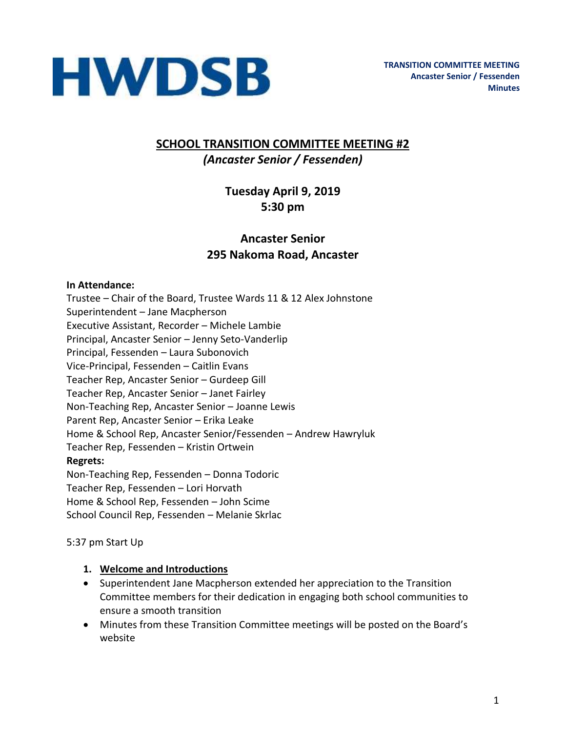

## **SCHOOL TRANSITION COMMITTEE MEETING #2** *(Ancaster Senior / Fessenden)*

## **Tuesday April 9, 2019 5:30 pm**

## **Ancaster Senior 295 Nakoma Road, Ancaster**

#### **In Attendance:**

Trustee – Chair of the Board, Trustee Wards 11 & 12 Alex Johnstone Superintendent – Jane Macpherson Executive Assistant, Recorder – Michele Lambie Principal, Ancaster Senior – Jenny Seto-Vanderlip Principal, Fessenden – Laura Subonovich Vice-Principal, Fessenden – Caitlin Evans Teacher Rep, Ancaster Senior – Gurdeep Gill Teacher Rep, Ancaster Senior – Janet Fairley Non-Teaching Rep, Ancaster Senior – Joanne Lewis Parent Rep, Ancaster Senior – Erika Leake Home & School Rep, Ancaster Senior/Fessenden – Andrew Hawryluk Teacher Rep, Fessenden – Kristin Ortwein **Regrets:**  Non-Teaching Rep, Fessenden – Donna Todoric Teacher Rep, Fessenden – Lori Horvath Home & School Rep, Fessenden – John Scime School Council Rep, Fessenden – Melanie Skrlac

5:37 pm Start Up

#### **1. Welcome and Introductions**

- Superintendent Jane Macpherson extended her appreciation to the Transition Committee members for their dedication in engaging both school communities to ensure a smooth transition
- Minutes from these Transition Committee meetings will be posted on the Board's website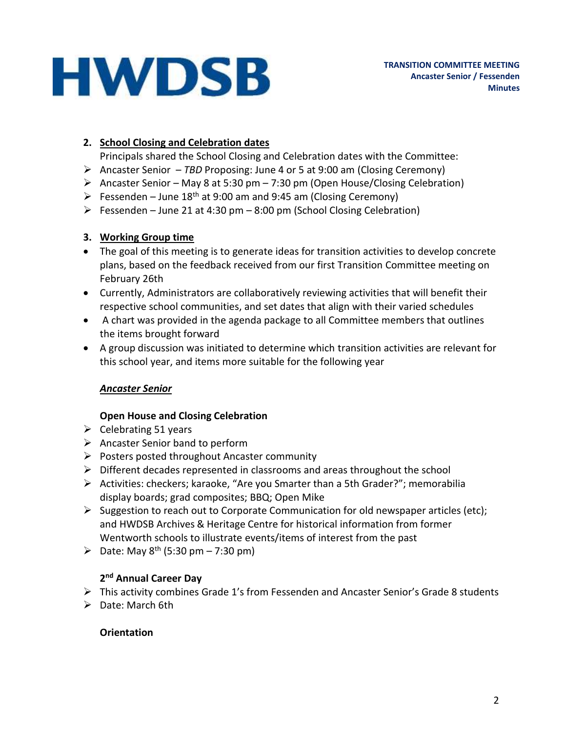## **2. School Closing and Celebration dates**

Principals shared the School Closing and Celebration dates with the Committee:

- ➢ Ancaster Senior *TBD* Proposing: June 4 or 5 at 9:00 am (Closing Ceremony)
- Ancaster Senior May 8 at 5:30 pm 7:30 pm (Open House/Closing Celebration)
- $\triangleright$  Fessenden June 18<sup>th</sup> at 9:00 am and 9:45 am (Closing Ceremony)
- $\triangleright$  Fessenden June 21 at 4:30 pm 8:00 pm (School Closing Celebration)

#### **3. Working Group time**

- The goal of this meeting is to generate ideas for transition activities to develop concrete plans, based on the feedback received from our first Transition Committee meeting on February 26th
- Currently, Administrators are collaboratively reviewing activities that will benefit their respective school communities, and set dates that align with their varied schedules
- A chart was provided in the agenda package to all Committee members that outlines the items brought forward
- A group discussion was initiated to determine which transition activities are relevant for this school year, and items more suitable for the following year

## *Ancaster Senior*

## **Open House and Closing Celebration**

- $\triangleright$  Celebrating 51 years
- ➢ Ancaster Senior band to perform
- ➢ Posters posted throughout Ancaster community
- $\triangleright$  Different decades represented in classrooms and areas throughout the school
- $\triangleright$  Activities: checkers; karaoke, "Are you Smarter than a 5th Grader?"; memorabilia display boards; grad composites; BBQ; Open Mike
- $\triangleright$  Suggestion to reach out to Corporate Communication for old newspaper articles (etc); and HWDSB Archives & Heritage Centre for historical information from former Wentworth schools to illustrate events/items of interest from the past
- ➢ Date: May 8th (5:30 pm 7:30 pm)

## **2 nd Annual Career Day**

- ➢ This activity combines Grade 1's from Fessenden and Ancaster Senior's Grade 8 students
- ➢ Date: March 6th

## **Orientation**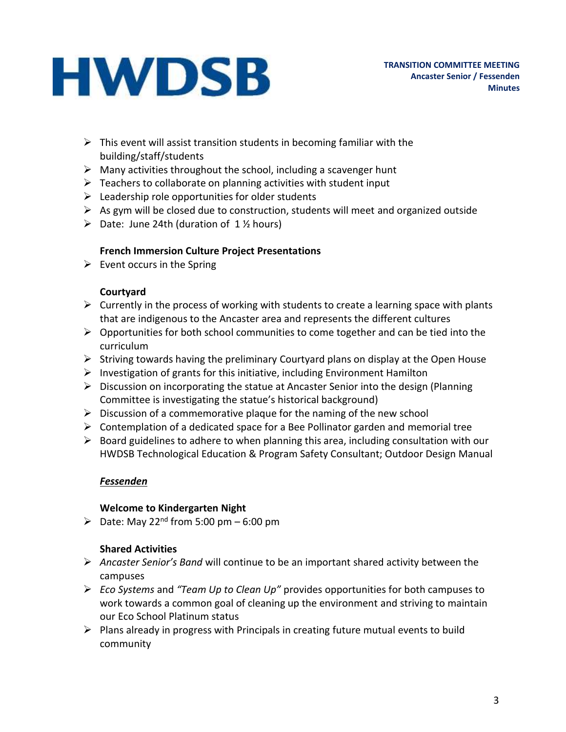- $\triangleright$  This event will assist transition students in becoming familiar with the building/staff/students
- $\triangleright$  Many activities throughout the school, including a scavenger hunt
- $\triangleright$  Teachers to collaborate on planning activities with student input
- $\triangleright$  Leadership role opportunities for older students
- $\triangleright$  As gym will be closed due to construction, students will meet and organized outside
- $\triangleright$  Date: June 24th (duration of 1 % hours)

#### **French Immersion Culture Project Presentations**

 $\triangleright$  Event occurs in the Spring

#### **Courtyard**

- $\triangleright$  Currently in the process of working with students to create a learning space with plants that are indigenous to the Ancaster area and represents the different cultures
- $\triangleright$  Opportunities for both school communities to come together and can be tied into the curriculum
- $\triangleright$  Striving towards having the preliminary Courtyard plans on display at the Open House
- $\triangleright$  Investigation of grants for this initiative, including Environment Hamilton
- $\triangleright$  Discussion on incorporating the statue at Ancaster Senior into the design (Planning Committee is investigating the statue's historical background)
- $\triangleright$  Discussion of a commemorative plaque for the naming of the new school
- $\triangleright$  Contemplation of a dedicated space for a Bee Pollinator garden and memorial tree
- $\triangleright$  Board guidelines to adhere to when planning this area, including consultation with our HWDSB Technological Education & Program Safety Consultant; Outdoor Design Manual

## *Fessenden*

#### **Welcome to Kindergarten Night**

 $\triangleright$  Date: May 22<sup>nd</sup> from 5:00 pm – 6:00 pm

## **Shared Activities**

- ➢ *Ancaster Senior's Band* will continue to be an important shared activity between the campuses
- ➢ *Eco Systems* and *"Team Up to Clean Up"* provides opportunities for both campuses to work towards a common goal of cleaning up the environment and striving to maintain our Eco School Platinum status
- $\triangleright$  Plans already in progress with Principals in creating future mutual events to build community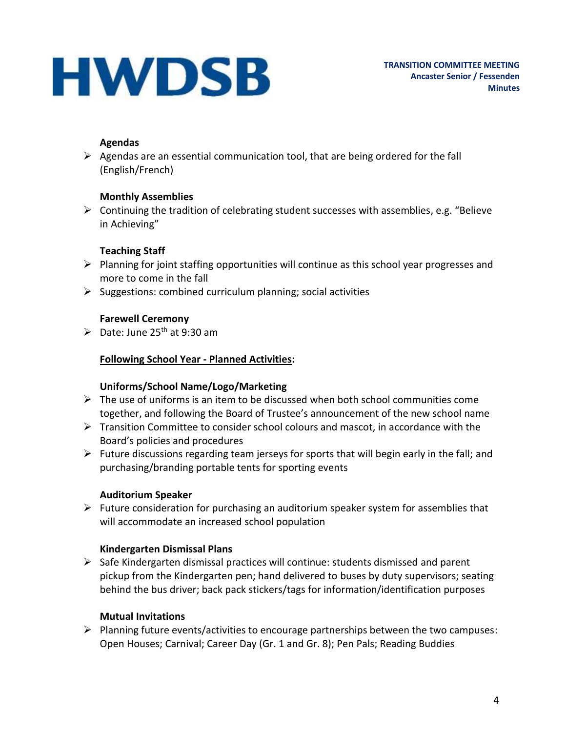#### **Agendas**

 $\triangleright$  Agendas are an essential communication tool, that are being ordered for the fall (English/French)

## **Monthly Assemblies**

 $\triangleright$  Continuing the tradition of celebrating student successes with assemblies, e.g. "Believe in Achieving"

## **Teaching Staff**

- ➢ Planning for joint staffing opportunities will continue as this school year progresses and more to come in the fall
- $\triangleright$  Suggestions: combined curriculum planning; social activities

## **Farewell Ceremony**

 $\triangleright$  Date: June 25<sup>th</sup> at 9:30 am

#### **Following School Year - Planned Activities:**

#### **Uniforms/School Name/Logo/Marketing**

- $\triangleright$  The use of uniforms is an item to be discussed when both school communities come together, and following the Board of Trustee's announcement of the new school name
- $\triangleright$  Transition Committee to consider school colours and mascot, in accordance with the Board's policies and procedures
- $\triangleright$  Future discussions regarding team jerseys for sports that will begin early in the fall; and purchasing/branding portable tents for sporting events

## **Auditorium Speaker**

 $\triangleright$  Future consideration for purchasing an auditorium speaker system for assemblies that will accommodate an increased school population

## **Kindergarten Dismissal Plans**

 $\triangleright$  Safe Kindergarten dismissal practices will continue: students dismissed and parent pickup from the Kindergarten pen; hand delivered to buses by duty supervisors; seating behind the bus driver; back pack stickers/tags for information/identification purposes

## **Mutual Invitations**

➢ Planning future events/activities to encourage partnerships between the two campuses: Open Houses; Carnival; Career Day (Gr. 1 and Gr. 8); Pen Pals; Reading Buddies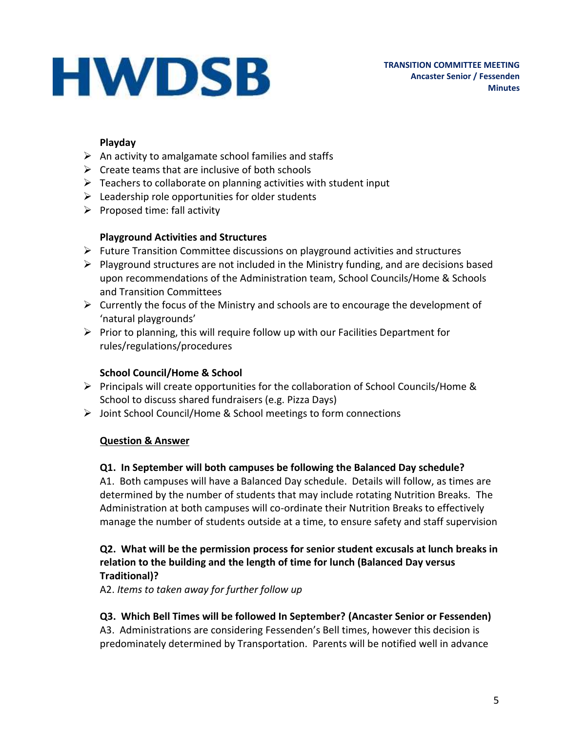#### **Playday**

- $\triangleright$  An activity to amalgamate school families and staffs
- $\triangleright$  Create teams that are inclusive of both schools
- $\triangleright$  Teachers to collaborate on planning activities with student input
- $\triangleright$  Leadership role opportunities for older students
- $\triangleright$  Proposed time: fall activity

## **Playground Activities and Structures**

- ➢ Future Transition Committee discussions on playground activities and structures
- $\triangleright$  Playground structures are not included in the Ministry funding, and are decisions based upon recommendations of the Administration team, School Councils/Home & Schools and Transition Committees
- $\triangleright$  Currently the focus of the Ministry and schools are to encourage the development of 'natural playgrounds'
- $\triangleright$  Prior to planning, this will require follow up with our Facilities Department for rules/regulations/procedures

#### **School Council/Home & School**

- $\triangleright$  Principals will create opportunities for the collaboration of School Councils/Home & School to discuss shared fundraisers (e.g. Pizza Days)
- ➢ Joint School Council/Home & School meetings to form connections

#### **Question & Answer**

#### **Q1. In September will both campuses be following the Balanced Day schedule?**

A1. Both campuses will have a Balanced Day schedule. Details will follow, as times are determined by the number of students that may include rotating Nutrition Breaks. The Administration at both campuses will co-ordinate their Nutrition Breaks to effectively manage the number of students outside at a time, to ensure safety and staff supervision

#### **Q2. What will be the permission process for senior student excusals at lunch breaks in relation to the building and the length of time for lunch (Balanced Day versus Traditional)?**

A2. *Items to taken away for further follow up*

## **Q3. Which Bell Times will be followed In September? (Ancaster Senior or Fessenden)**

A3. Administrations are considering Fessenden's Bell times, however this decision is predominately determined by Transportation. Parents will be notified well in advance